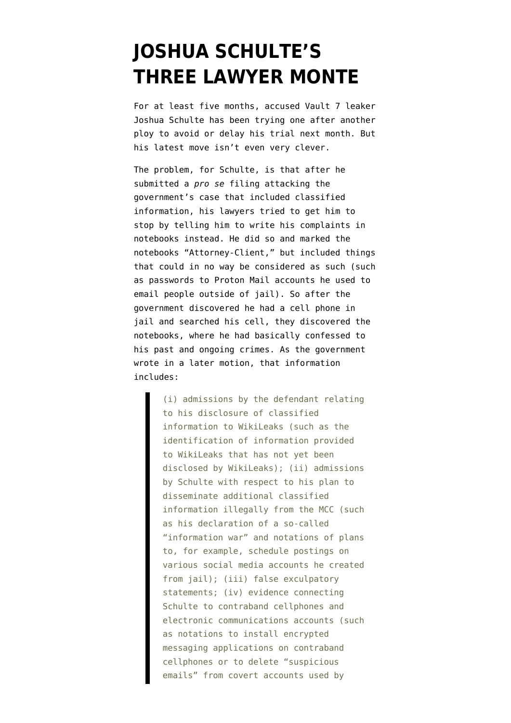## **[JOSHUA SCHULTE'S](https://www.emptywheel.net/2020/01/06/joshua-schultes-three-lawyer-monte/) [THREE LAWYER MONTE](https://www.emptywheel.net/2020/01/06/joshua-schultes-three-lawyer-monte/)**

For at least five months, accused Vault 7 leaker Joshua Schulte has been trying one after another ploy to avoid or delay his trial next month. But his latest move isn't even very clever.

The problem, for Schulte, is that after he submitted a *pro se* filing attacking the government's case that included classified information, his lawyers tried to get him to stop by telling him to write his complaints in notebooks instead. He did so and marked the notebooks "Attorney-Client," but included things that could in no way be considered as such (such as passwords to Proton Mail accounts he used to email people outside of jail). So after the government discovered he had a cell phone in jail and searched his cell, they discovered the notebooks, where he had basically confessed to his past and ongoing crimes. As the government wrote in [a later motion,](https://www.courtlistener.com/recap/gov.uscourts.nysd.480183/gov.uscourts.nysd.480183.154.0.pdf) that information includes:

> (i) admissions by the defendant relating to his disclosure of classified information to WikiLeaks (such as the identification of information provided to WikiLeaks that has not yet been disclosed by WikiLeaks); (ii) admissions by Schulte with respect to his plan to disseminate additional classified information illegally from the MCC (such as his declaration of a so-called "information war" and notations of plans to, for example, schedule postings on various social media accounts he created from jail); (iii) false exculpatory statements; (iv) evidence connecting Schulte to contraband cellphones and electronic communications accounts (such as notations to install encrypted messaging applications on contraband cellphones or to delete "suspicious emails" from covert accounts used by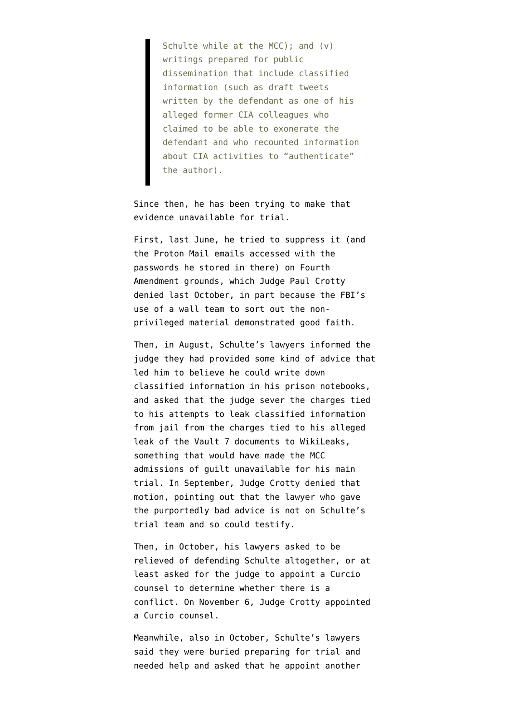Schulte while at the MCC); and (v) writings prepared for public dissemination that include classified information (such as draft tweets written by the defendant as one of his alleged former CIA colleagues who claimed to be able to exonerate the defendant and who recounted information about CIA activities to "authenticate" the author).

Since then, he has been trying to make that evidence unavailable for trial.

First, last June, he tried to [suppress](https://www.courtlistener.com/recap/gov.uscourts.nysd.480183/gov.uscourts.nysd.480183.98.0.pdf) it (and the Proton Mail emails accessed with the passwords he stored in there) on Fourth Amendment grounds, which Judge Paul Crotty [denied](https://www.courtlistener.com/recap/gov.uscourts.nysd.480183/gov.uscourts.nysd.480183.159.0.pdf) last October, in part because the FBI's use of a wall team to sort out the nonprivileged material demonstrated good faith.

Then, in August, Schulte's lawyers [informed](https://www.courtlistener.com/recap/gov.uscourts.nysd.480183/gov.uscourts.nysd.480183.128.0.pdf) the judge they had provided some kind of advice that led him to believe he could write down classified information in his prison notebooks, and asked that the judge sever the charges tied to his attempts to leak classified information from jail from the charges tied to his alleged leak of the Vault 7 documents to WikiLeaks, something that would have made the MCC admissions of guilt unavailable for his main trial. In September, Judge Crotty [denied](https://www.courtlistener.com/recap/gov.uscourts.nysd.480183/gov.uscourts.nysd.480183.147.0.pdf) that motion, pointing out that the lawyer who gave the purportedly bad advice is not on Schulte's trial team and so could testify.

Then, in October, his lawyers [asked](https://www.courtlistener.com/recap/gov.uscourts.nysd.480183/gov.uscourts.nysd.480183.154.0.pdf) to be relieved of defending Schulte altogether, or at least asked for the judge to appoint a Curcio counsel to determine whether there is a conflict. On November 6, Judge Crotty [appointed](https://www.courtlistener.com/recap/gov.uscourts.nysd.480183/gov.uscourts.nysd.480183.177.0.pdf) a Curcio counsel.

Meanwhile, also in October, Schulte's lawyers said they were buried preparing for trial and needed help and [asked](https://www.courtlistener.com/recap/gov.uscourts.nysd.480183/gov.uscourts.nysd.480183.164.0.pdf) that he appoint another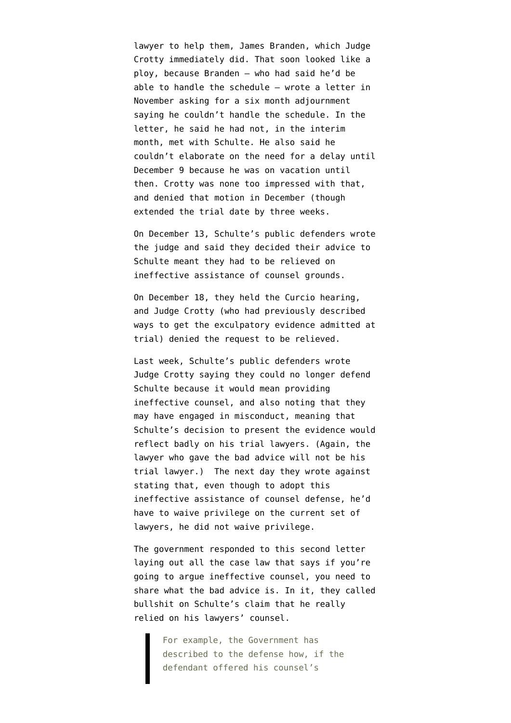lawyer to help them, James Branden, which Judge Crotty [immediately did](https://www.courtlistener.com/recap/gov.uscourts.nysd.480183/gov.uscourts.nysd.480183.166.0.pdf). That soon looked like a ploy, because Branden — who had said he'd be able to handle the schedule — wrote a [letter](https://www.courtlistener.com/recap/gov.uscourts.nysd.480183/gov.uscourts.nysd.480183.202.0.pdf) in November asking for a six month adjournment saying he couldn't handle the schedule. In the letter, he said he had not, in the interim month, met with Schulte. He also said he couldn't elaborate on the need for a delay until December 9 because he was on vacation until then. Crotty was none too impressed with that, and [denied](https://www.courtlistener.com/recap/gov.uscourts.nysd.480183/gov.uscourts.nysd.480183.212.0.pdf) that motion in December (though extended the trial date by three weeks.

On December 13, Schulte's public defenders [wrote](https://www.courtlistener.com/recap/gov.uscourts.nysd.480183/gov.uscourts.nysd.480183.220.0.pdf) [the judge](https://www.courtlistener.com/recap/gov.uscourts.nysd.480183/gov.uscourts.nysd.480183.220.0.pdf) and said they decided their advice to Schulte meant they had to be relieved on ineffective assistance of counsel grounds.

On December 18, they held the Curcio hearing, and Judge Crotty (who had previously described ways to get the exculpatory evidence admitted at trial) denied the request to be relieved.

Last week, Schulte's public defenders wrote Judge Crotty [saying](https://www.courtlistener.com/recap/gov.uscourts.nysd.480183/gov.uscourts.nysd.480183.231.0.pdf) they could no longer defend Schulte because it would mean providing ineffective counsel, and also noting that they may have engaged in misconduct, meaning that Schulte's decision to present the evidence would reflect badly on his trial lawyers. (Again, the lawyer who gave the bad advice will not be his trial lawyer.) The next day they [wrote](https://www.courtlistener.com/recap/gov.uscourts.nysd.480183/gov.uscourts.nysd.480183.232.0.pdf) against stating that, even though to adopt this ineffective assistance of counsel defense, he'd have to waive privilege on the current set of lawyers, he did not waive privilege.

The government [responded](https://www.courtlistener.com/recap/gov.uscourts.nysd.480183/gov.uscourts.nysd.480183.241.0.pdf) to this second letter laying out all the case law that says if you're going to argue ineffective counsel, you need to share what the bad advice is. In it, they called bullshit on Schulte's claim that he really relied on his lawyers' counsel.

> For example, the Government has described to the defense how, if the defendant offered his counsel's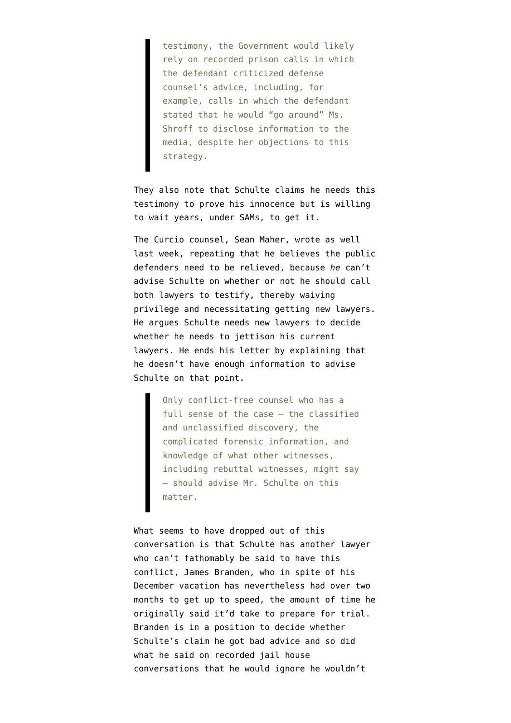testimony, the Government would likely rely on recorded prison calls in which the defendant criticized defense counsel's advice, including, for example, calls in which the defendant stated that he would "go around" Ms. Shroff to disclose information to the media, despite her objections to this strategy.

They also note that Schulte claims he needs this testimony to prove his innocence but is willing to wait years, under SAMs, to get it.

The Curcio counsel, Sean Maher, [wrote](https://www.courtlistener.com/recap/gov.uscourts.nysd.480183/gov.uscourts.nysd.480183.233.0.pdf) as well last week, repeating that he believes the public defenders need to be relieved, because *he* can't advise Schulte on whether or not he should call both lawyers to testify, thereby waiving privilege and necessitating getting new lawyers. He argues Schulte needs new lawyers to decide whether he needs to jettison his current lawyers. He ends his letter by explaining that he doesn't have enough information to advise Schulte on that point.

> Only conflict-free counsel who has a full sense of the case — the classified and unclassified discovery, the complicated forensic information, and knowledge of what other witnesses, including rebuttal witnesses, might say — should advise Mr. Schulte on this matter.

What seems to have dropped out of this conversation is that Schulte has another lawyer who can't fathomably be said to have this conflict, James Branden, who in spite of his December vacation has nevertheless had over two months to get up to speed, the amount of time he originally said it'd take to prepare for trial. Branden is in a position to decide whether Schulte's claim he got bad advice and so did what he said on recorded jail house conversations that he would ignore he wouldn't